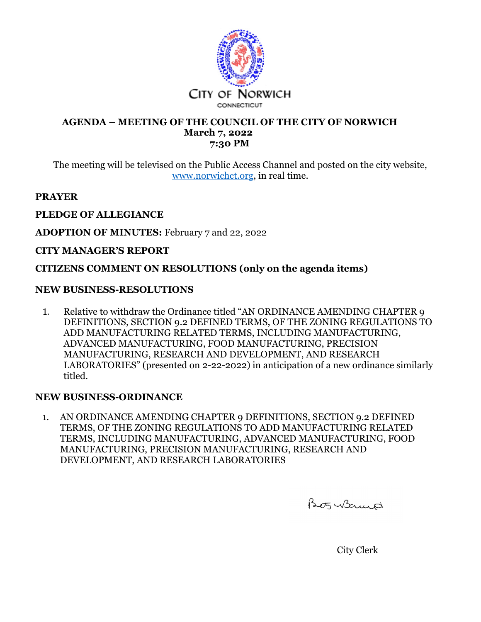

#### **AGENDA – MEETING OF THE COUNCIL OF THE CITY OF NORWICH March 7, 2022 7:30 PM**

The meeting will be televised on the Public Access Channel and posted on the city website, www.norwichct.org, in real time.

# **PRAYER**

### **PLEDGE OF ALLEGIANCE**

**ADOPTION OF MINUTES:** February 7 and 22, 2022

### **CITY MANAGER'S REPORT**

## **CITIZENS COMMENT ON RESOLUTIONS (only on the agenda items)**

## **NEW BUSINESS-RESOLUTIONS**

1. Relative to withdraw the Ordinance titled "AN ORDINANCE AMENDING CHAPTER 9 DEFINITIONS, SECTION 9.2 DEFINED TERMS, OF THE ZONING REGULATIONS TO ADD MANUFACTURING RELATED TERMS, INCLUDING MANUFACTURING, ADVANCED MANUFACTURING, FOOD MANUFACTURING, PRECISION MANUFACTURING, RESEARCH AND DEVELOPMENT, AND RESEARCH LABORATORIES" (presented on 2-22-2022) in anticipation of a new ordinance similarly titled.

### **NEW BUSINESS-ORDINANCE**

1. AN ORDINANCE AMENDING CHAPTER 9 DEFINITIONS, SECTION 9.2 DEFINED TERMS, OF THE ZONING REGULATIONS TO ADD MANUFACTURING RELATED TERMS, INCLUDING MANUFACTURING, ADVANCED MANUFACTURING, FOOD MANUFACTURING, PRECISION MANUFACTURING, RESEARCH AND DEVELOPMENT, AND RESEARCH LABORATORIES

Bo5 Wormed

City Clerk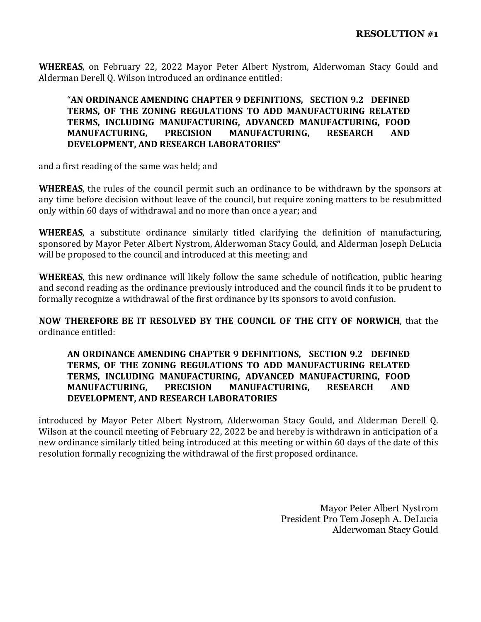**WHEREAS**, on February 22, 2022 Mayor Peter Albert Nystrom, Alderwoman Stacy Gould and Alderman Derell Q. Wilson introduced an ordinance entitled:

### "**AN ORDINANCE AMENDING CHAPTER 9 DEFINITIONS, SECTION 9.2 DEFINED TERMS, OF THE ZONING REGULATIONS TO ADD MANUFACTURING RELATED TERMS, INCLUDING MANUFACTURING, ADVANCED MANUFACTURING, FOOD MANUFACTURING, PRECISION MANUFACTURING, RESEARCH AND DEVELOPMENT, AND RESEARCH LABORATORIES"**

and a first reading of the same was held; and

**WHEREAS**, the rules of the council permit such an ordinance to be withdrawn by the sponsors at any time before decision without leave of the council, but require zoning matters to be resubmitted only within 60 days of withdrawal and no more than once a year; and

**WHEREAS**, a substitute ordinance similarly titled clarifying the definition of manufacturing, sponsored by Mayor Peter Albert Nystrom, Alderwoman Stacy Gould, and Alderman Joseph DeLucia will be proposed to the council and introduced at this meeting; and

**WHEREAS**, this new ordinance will likely follow the same schedule of notification, public hearing and second reading as the ordinance previously introduced and the council finds it to be prudent to formally recognize a withdrawal of the first ordinance by its sponsors to avoid confusion.

**NOW THEREFORE BE IT RESOLVED BY THE COUNCIL OF THE CITY OF NORWICH**, that the ordinance entitled:

#### **AN ORDINANCE AMENDING CHAPTER 9 DEFINITIONS, SECTION 9.2 DEFINED TERMS, OF THE ZONING REGULATIONS TO ADD MANUFACTURING RELATED TERMS, INCLUDING MANUFACTURING, ADVANCED MANUFACTURING, FOOD MANUFACTURING, PRECISION MANUFACTURING, RESEARCH AND DEVELOPMENT, AND RESEARCH LABORATORIES**

introduced by Mayor Peter Albert Nystrom, Alderwoman Stacy Gould, and Alderman Derell Q. Wilson at the council meeting of February 22, 2022 be and hereby is withdrawn in anticipation of a new ordinance similarly titled being introduced at this meeting or within 60 days of the date of this resolution formally recognizing the withdrawal of the first proposed ordinance.

> Mayor Peter Albert Nystrom President Pro Tem Joseph A. DeLucia Alderwoman Stacy Gould